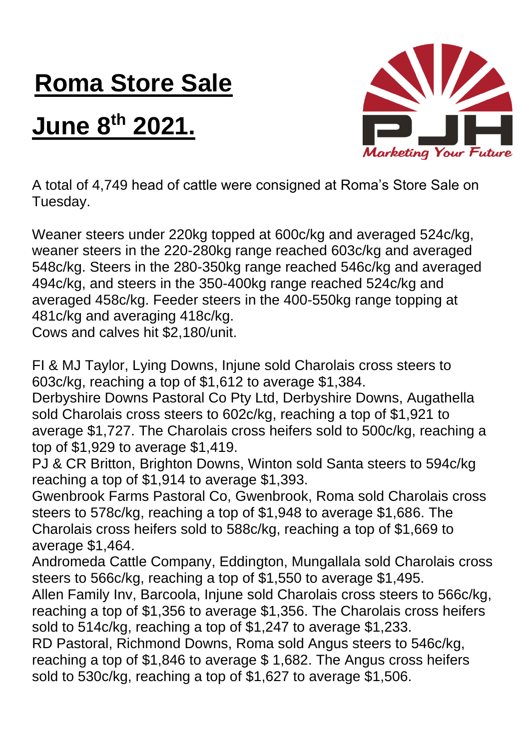## **Roma Store Sale**

## **June 8th 2021.**



A total of 4,749 head of cattle were consigned at Roma's Store Sale on Tuesday.

Weaner steers under 220kg topped at 600c/kg and averaged 524c/kg, weaner steers in the 220-280kg range reached 603c/kg and averaged 548c/kg. Steers in the 280-350kg range reached 546c/kg and averaged 494c/kg, and steers in the 350-400kg range reached 524c/kg and averaged 458c/kg. Feeder steers in the 400-550kg range topping at 481c/kg and averaging 418c/kg.

Cows and calves hit \$2,180/unit.

FI & MJ Taylor, Lying Downs, Injune sold Charolais cross steers to 603c/kg, reaching a top of \$1,612 to average \$1,384.

Derbyshire Downs Pastoral Co Pty Ltd, Derbyshire Downs, Augathella sold Charolais cross steers to 602c/kg, reaching a top of \$1,921 to average \$1,727. The Charolais cross heifers sold to 500c/kg, reaching a top of \$1,929 to average \$1,419.

PJ & CR Britton, Brighton Downs, Winton sold Santa steers to 594c/kg reaching a top of \$1,914 to average \$1,393.

Gwenbrook Farms Pastoral Co, Gwenbrook, Roma sold Charolais cross steers to 578c/kg, reaching a top of \$1,948 to average \$1,686. The Charolais cross heifers sold to 588c/kg, reaching a top of \$1,669 to average \$1,464.

Andromeda Cattle Company, Eddington, Mungallala sold Charolais cross steers to 566c/kg, reaching a top of \$1,550 to average \$1,495.

Allen Family Inv, Barcoola, Injune sold Charolais cross steers to 566c/kg, reaching a top of \$1,356 to average \$1,356. The Charolais cross heifers sold to 514c/kg, reaching a top of \$1,247 to average \$1,233.

RD Pastoral, Richmond Downs, Roma sold Angus steers to 546c/kg, reaching a top of \$1,846 to average \$ 1,682. The Angus cross heifers sold to 530c/kg, reaching a top of \$1,627 to average \$1,506.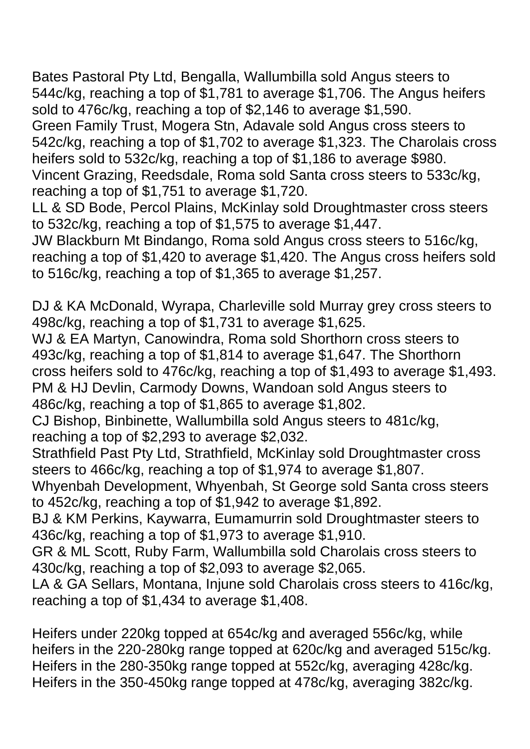Bates Pastoral Pty Ltd, Bengalla, Wallumbilla sold Angus steers to 544c/kg, reaching a top of \$1,781 to average \$1,706. The Angus heifers sold to 476c/kg, reaching a top of \$2,146 to average \$1,590.

Green Family Trust, Mogera Stn, Adavale sold Angus cross steers to 542c/kg, reaching a top of \$1,702 to average \$1,323. The Charolais cross heifers sold to 532c/kg, reaching a top of \$1,186 to average \$980. Vincent Grazing, Reedsdale, Roma sold Santa cross steers to 533c/kg, reaching a top of \$1,751 to average \$1,720.

LL & SD Bode, Percol Plains, McKinlay sold Droughtmaster cross steers to 532c/kg, reaching a top of \$1,575 to average \$1,447.

JW Blackburn Mt Bindango, Roma sold Angus cross steers to 516c/kg, reaching a top of \$1,420 to average \$1,420. The Angus cross heifers sold to 516c/kg, reaching a top of \$1,365 to average \$1,257.

DJ & KA McDonald, Wyrapa, Charleville sold Murray grey cross steers to 498c/kg, reaching a top of \$1,731 to average \$1,625.

WJ & EA Martyn, Canowindra, Roma sold Shorthorn cross steers to 493c/kg, reaching a top of \$1,814 to average \$1,647. The Shorthorn cross heifers sold to 476c/kg, reaching a top of \$1,493 to average \$1,493. PM & HJ Devlin, Carmody Downs, Wandoan sold Angus steers to 486c/kg, reaching a top of \$1,865 to average \$1,802.

CJ Bishop, Binbinette, Wallumbilla sold Angus steers to 481c/kg, reaching a top of \$2,293 to average \$2,032.

Strathfield Past Pty Ltd, Strathfield, McKinlay sold Droughtmaster cross steers to 466c/kg, reaching a top of \$1,974 to average \$1,807.

Whyenbah Development, Whyenbah, St George sold Santa cross steers to 452c/kg, reaching a top of \$1,942 to average \$1,892.

BJ & KM Perkins, Kaywarra, Eumamurrin sold Droughtmaster steers to 436c/kg, reaching a top of \$1,973 to average \$1,910.

GR & ML Scott, Ruby Farm, Wallumbilla sold Charolais cross steers to 430c/kg, reaching a top of \$2,093 to average \$2,065.

LA & GA Sellars, Montana, Injune sold Charolais cross steers to 416c/kg, reaching a top of \$1,434 to average \$1,408.

Heifers under 220kg topped at 654c/kg and averaged 556c/kg, while heifers in the 220-280kg range topped at 620c/kg and averaged 515c/kg. Heifers in the 280-350kg range topped at 552c/kg, averaging 428c/kg. Heifers in the 350-450kg range topped at 478c/kg, averaging 382c/kg.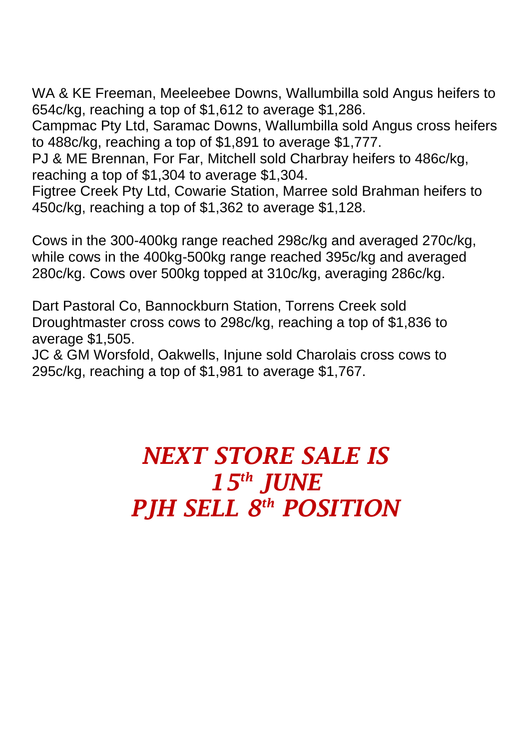WA & KE Freeman, Meeleebee Downs, Wallumbilla sold Angus heifers to 654c/kg, reaching a top of \$1,612 to average \$1,286.

Campmac Pty Ltd, Saramac Downs, Wallumbilla sold Angus cross heifers to 488c/kg, reaching a top of \$1,891 to average \$1,777.

PJ & ME Brennan, For Far, Mitchell sold Charbray heifers to 486c/kg, reaching a top of \$1,304 to average \$1,304.

Figtree Creek Pty Ltd, Cowarie Station, Marree sold Brahman heifers to 450c/kg, reaching a top of \$1,362 to average \$1,128.

Cows in the 300-400kg range reached 298c/kg and averaged 270c/kg, while cows in the 400kg-500kg range reached 395c/kg and averaged 280c/kg. Cows over 500kg topped at 310c/kg, averaging 286c/kg.

Dart Pastoral Co, Bannockburn Station, Torrens Creek sold Droughtmaster cross cows to 298c/kg, reaching a top of \$1,836 to average \$1,505.

JC & GM Worsfold, Oakwells, Injune sold Charolais cross cows to 295c/kg, reaching a top of \$1,981 to average \$1,767.

## *NEXT STORE SALE IS 15 th JUNE PJH SELL 8 th POSITION*